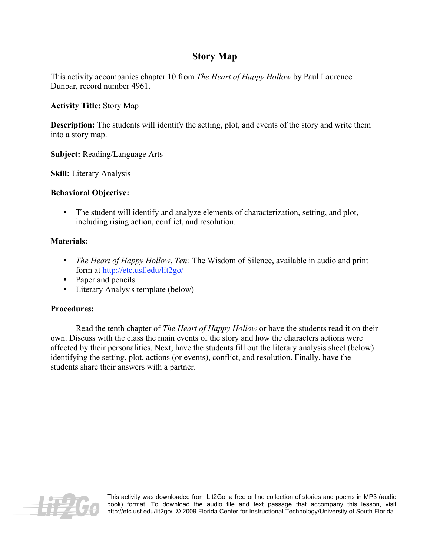## **Story Map**

This activity accompanies chapter 10 from *The Heart of Happy Hollow* by Paul Laurence Dunbar, record number 4961.

**Activity Title:** Story Map

**Description:** The students will identify the setting, plot, and events of the story and write them into a story map.

**Subject:** Reading/Language Arts

**Skill:** Literary Analysis

## **Behavioral Objective:**

• The student will identify and analyze elements of characterization, setting, and plot, including rising action, conflict, and resolution.

## **Materials:**

- *The Heart of Happy Hollow*, *Ten:* The Wisdom of Silence, available in audio and print form at http://etc.usf.edu/lit2go/
- Paper and pencils
- Literary Analysis template (below)

## **Procedures:**

Read the tenth chapter of *The Heart of Happy Hollow* or have the students read it on their own. Discuss with the class the main events of the story and how the characters actions were affected by their personalities. Next, have the students fill out the literary analysis sheet (below) identifying the setting, plot, actions (or events), conflict, and resolution. Finally, have the students share their answers with a partner.



This activity was downloaded from Lit2Go, a free online collection of stories and poems in MP3 (audio book) format. To download the audio file and text passage that accompany this lesson, visit http://etc.usf.edu/lit2go/. © 2009 Florida Center for Instructional Technology/University of South Florida.